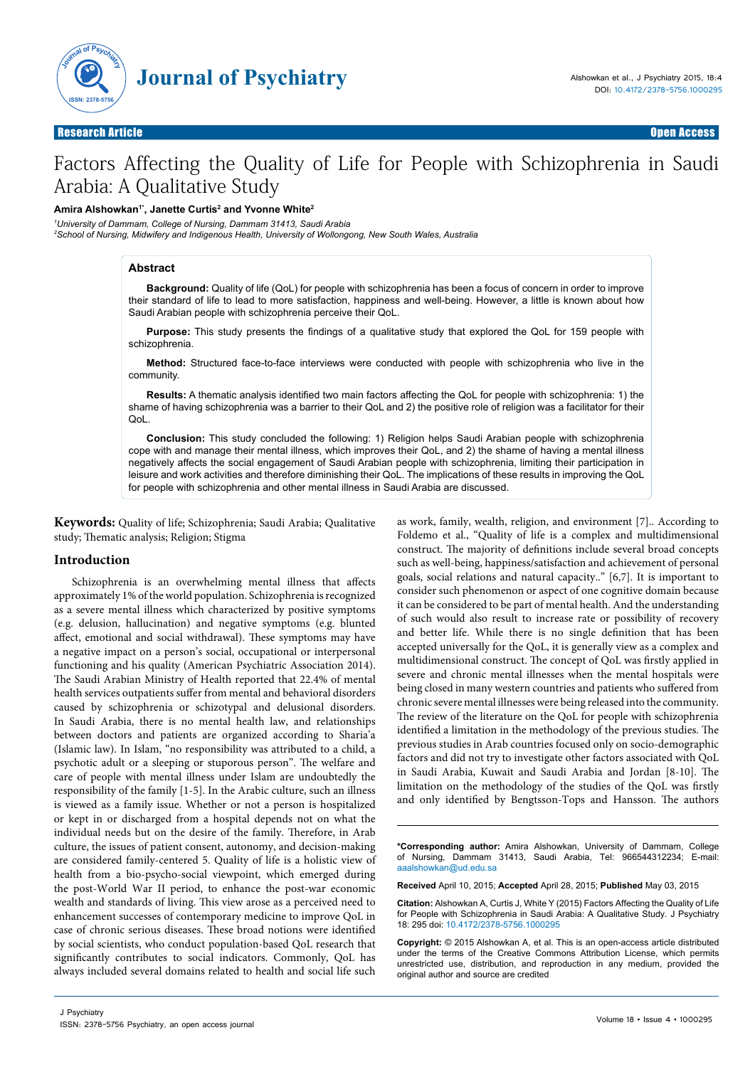

# Factors Affecting the Quality of Life for People with Schizophrenia in Saudi Arabia: A Qualitative Study

#### **Amira Alshowkan1\*, Janette Curtis2 and Yvonne White2**

*1 University of Dammam, College of Nursing, Dammam 31413, Saudi Arabia*

*2 School of Nursing, Midwifery and Indigenous Health, University of Wollongong, New South Wales, Australia*

#### **Abstract**

**Background:** Quality of life (QoL) for people with schizophrenia has been a focus of concern in order to improve their standard of life to lead to more satisfaction, happiness and well-being. However, a little is known about how Saudi Arabian people with schizophrenia perceive their QoL.

**Purpose:** This study presents the findings of a qualitative study that explored the QoL for 159 people with schizophrenia.

**Method:** Structured face-to-face interviews were conducted with people with schizophrenia who live in the community.

**Results:** A thematic analysis identified two main factors affecting the QoL for people with schizophrenia: 1) the shame of having schizophrenia was a barrier to their QoL and 2) the positive role of religion was a facilitator for their QoL.

**Conclusion:** This study concluded the following: 1) Religion helps Saudi Arabian people with schizophrenia cope with and manage their mental illness, which improves their QoL, and 2) the shame of having a mental illness negatively affects the social engagement of Saudi Arabian people with schizophrenia, limiting their participation in leisure and work activities and therefore diminishing their QoL. The implications of these results in improving the QoL for people with schizophrenia and other mental illness in Saudi Arabia are discussed.

**Keywords:** Quality of life; Schizophrenia; Saudi Arabia; Qualitative study; Thematic analysis; Religion; Stigma

#### **Introduction**

Schizophrenia is an overwhelming mental illness that affects approximately 1% of the world population. Schizophrenia is recognized as a severe mental illness which characterized by positive symptoms (e.g. delusion, hallucination) and negative symptoms (e.g. blunted affect, emotional and social withdrawal). These symptoms may have a negative impact on a person's social, occupational or interpersonal functioning and his quality (American Psychiatric Association 2014). The Saudi Arabian Ministry of Health reported that 22.4% of mental health services outpatients suffer from mental and behavioral disorders caused by schizophrenia or schizotypal and delusional disorders. In Saudi Arabia, there is no mental health law, and relationships between doctors and patients are organized according to Sharia'a (Islamic law). In Islam, "no responsibility was attributed to a child, a psychotic adult or a sleeping or stuporous person". The welfare and care of people with mental illness under Islam are undoubtedly the responsibility of the family [1-5]. In the Arabic culture, such an illness is viewed as a family issue. Whether or not a person is hospitalized or kept in or discharged from a hospital depends not on what the individual needs but on the desire of the family. Therefore, in Arab culture, the issues of patient consent, autonomy, and decision-making are considered family-centered 5. Quality of life is a holistic view of health from a bio-psycho-social viewpoint, which emerged during the post-World War II period, to enhance the post-war economic wealth and standards of living. This view arose as a perceived need to enhancement successes of contemporary medicine to improve QoL in case of chronic serious diseases. These broad notions were identified by social scientists, who conduct population-based QoL research that significantly contributes to social indicators. Commonly, QoL has always included several domains related to health and social life such

as work, family, wealth, religion, and environment [7].. According to Foldemo et al., "Quality of life is a complex and multidimensional construct. The majority of definitions include several broad concepts such as well-being, happiness/satisfaction and achievement of personal goals, social relations and natural capacity.." [6,7]. It is important to consider such phenomenon or aspect of one cognitive domain because it can be considered to be part of mental health. And the understanding of such would also result to increase rate or possibility of recovery and better life. While there is no single definition that has been accepted universally for the QoL, it is generally view as a complex and multidimensional construct. The concept of QoL was firstly applied in severe and chronic mental illnesses when the mental hospitals were being closed in many western countries and patients who suffered from chronic severe mental illnesses were being released into the community. The review of the literature on the QoL for people with schizophrenia identified a limitation in the methodology of the previous studies. The previous studies in Arab countries focused only on socio-demographic factors and did not try to investigate other factors associated with QoL in Saudi Arabia, Kuwait and Saudi Arabia and Jordan [8-10]. The limitation on the methodology of the studies of the QoL was firstly and only identified by Bengtsson-Tops and Hansson. The authors

**\*Corresponding author:** Amira Alshowkan, University of Dammam, College of Nursing, Dammam 31413, Saudi Arabia, Tel: 966544312234; E-mail: alshowkan@ud.edu.sa

**Received** April 10, 2015; **Accepted** April 28, 2015; **Published** May 03, 2015

**Citation:** Alshowkan A, Curtis J, White Y (2015) Factors Affecting the Quality of Life for People with Schizophrenia in Saudi Arabia: A Qualitative Study. J Psychiatry 18: 295 doi: 10.4172/2378-5756.1000295

**Copyright:** © 2015 Alshowkan A, et al. This is an open-access article distributed under the terms of the Creative Commons Attribution License, which permits unrestricted use, distribution, and reproduction in any medium, provided the original author and source are credited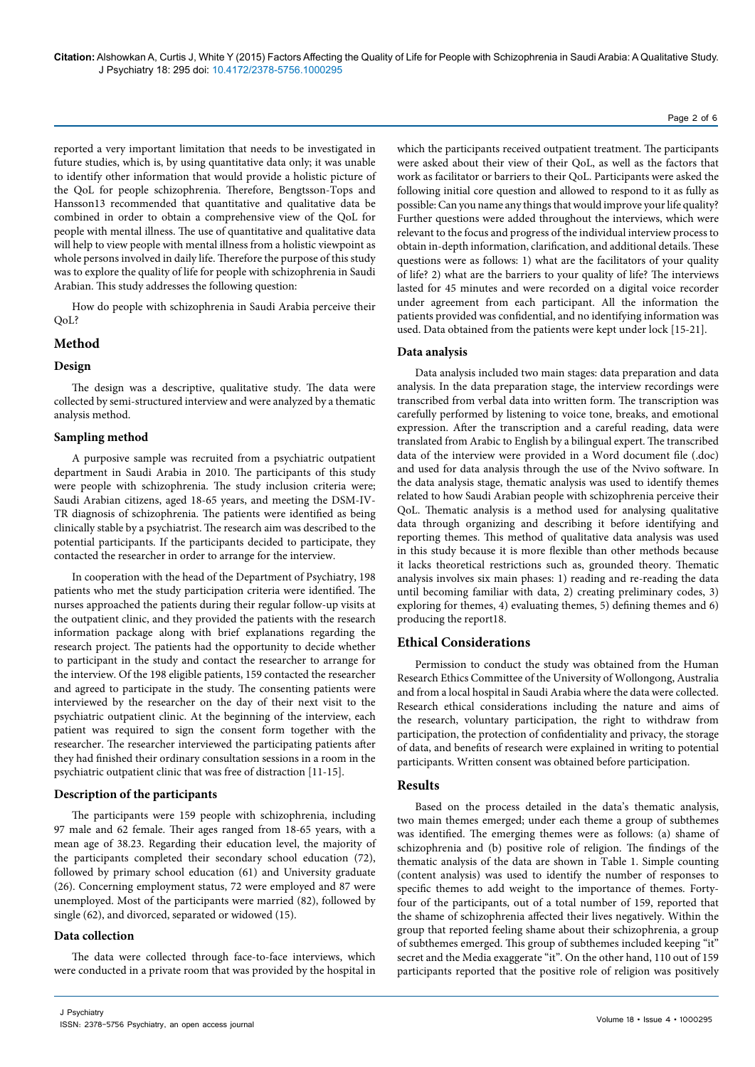reported a very important limitation that needs to be investigated in future studies, which is, by using quantitative data only; it was unable to identify other information that would provide a holistic picture of the QoL for people schizophrenia. Therefore, Bengtsson-Tops and Hansson13 recommended that quantitative and qualitative data be combined in order to obtain a comprehensive view of the QoL for people with mental illness. The use of quantitative and qualitative data will help to view people with mental illness from a holistic viewpoint as whole persons involved in daily life. Therefore the purpose of this study was to explore the quality of life for people with schizophrenia in Saudi Arabian. This study addresses the following question:

How do people with schizophrenia in Saudi Arabia perceive their QoL?

# **Method**

## **Design**

The design was a descriptive, qualitative study. The data were collected by semi-structured interview and were analyzed by a thematic analysis method.

## **Sampling method**

A purposive sample was recruited from a psychiatric outpatient department in Saudi Arabia in 2010. The participants of this study were people with schizophrenia. The study inclusion criteria were; Saudi Arabian citizens, aged 18-65 years, and meeting the DSM-IV-TR diagnosis of schizophrenia. The patients were identified as being clinically stable by a psychiatrist. The research aim was described to the potential participants. If the participants decided to participate, they contacted the researcher in order to arrange for the interview.

In cooperation with the head of the Department of Psychiatry, 198 patients who met the study participation criteria were identified. The nurses approached the patients during their regular follow-up visits at the outpatient clinic, and they provided the patients with the research information package along with brief explanations regarding the research project. The patients had the opportunity to decide whether to participant in the study and contact the researcher to arrange for the interview. Of the 198 eligible patients, 159 contacted the researcher and agreed to participate in the study. The consenting patients were interviewed by the researcher on the day of their next visit to the psychiatric outpatient clinic. At the beginning of the interview, each patient was required to sign the consent form together with the researcher. The researcher interviewed the participating patients after they had finished their ordinary consultation sessions in a room in the psychiatric outpatient clinic that was free of distraction [11-15].

#### **Description of the participants**

The participants were 159 people with schizophrenia, including 97 male and 62 female. Their ages ranged from 18-65 years, with a mean age of 38.23. Regarding their education level, the majority of the participants completed their secondary school education (72), followed by primary school education (61) and University graduate (26). Concerning employment status, 72 were employed and 87 were unemployed. Most of the participants were married (82), followed by single (62), and divorced, separated or widowed (15).

#### **Data collection**

The data were collected through face-to-face interviews, which were conducted in a private room that was provided by the hospital in

which the participants received outpatient treatment. The participants were asked about their view of their QoL, as well as the factors that work as facilitator or barriers to their QoL. Participants were asked the following initial core question and allowed to respond to it as fully as possible: Can you name any things that would improve your life quality? Further questions were added throughout the interviews, which were relevant to the focus and progress of the individual interview process to obtain in-depth information, clarification, and additional details. These questions were as follows: 1) what are the facilitators of your quality of life? 2) what are the barriers to your quality of life? The interviews lasted for 45 minutes and were recorded on a digital voice recorder under agreement from each participant. All the information the patients provided was confidential, and no identifying information was used. Data obtained from the patients were kept under lock [15-21].

## **Data analysis**

Data analysis included two main stages: data preparation and data analysis. In the data preparation stage, the interview recordings were transcribed from verbal data into written form. The transcription was carefully performed by listening to voice tone, breaks, and emotional expression. After the transcription and a careful reading, data were translated from Arabic to English by a bilingual expert. The transcribed data of the interview were provided in a Word document file (.doc) and used for data analysis through the use of the Nvivo software. In the data analysis stage, thematic analysis was used to identify themes related to how Saudi Arabian people with schizophrenia perceive their QoL. Thematic analysis is a method used for analysing qualitative data through organizing and describing it before identifying and reporting themes. This method of qualitative data analysis was used in this study because it is more flexible than other methods because it lacks theoretical restrictions such as, grounded theory. Thematic analysis involves six main phases: 1) reading and re-reading the data until becoming familiar with data, 2) creating preliminary codes, 3) exploring for themes, 4) evaluating themes, 5) defining themes and 6) producing the report18.

## **Ethical Considerations**

Permission to conduct the study was obtained from the Human Research Ethics Committee of the University of Wollongong, Australia and from a local hospital in Saudi Arabia where the data were collected. Research ethical considerations including the nature and aims of the research, voluntary participation, the right to withdraw from participation, the protection of confidentiality and privacy, the storage of data, and benefits of research were explained in writing to potential participants. Written consent was obtained before participation.

## **Results**

Based on the process detailed in the data's thematic analysis, two main themes emerged; under each theme a group of subthemes was identified. The emerging themes were as follows: (a) shame of schizophrenia and (b) positive role of religion. The findings of the thematic analysis of the data are shown in Table 1. Simple counting (content analysis) was used to identify the number of responses to specific themes to add weight to the importance of themes. Fortyfour of the participants, out of a total number of 159, reported that the shame of schizophrenia affected their lives negatively. Within the group that reported feeling shame about their schizophrenia, a group of subthemes emerged. This group of subthemes included keeping "it" secret and the Media exaggerate "it". On the other hand, 110 out of 159 participants reported that the positive role of religion was positively

Page 2 of 6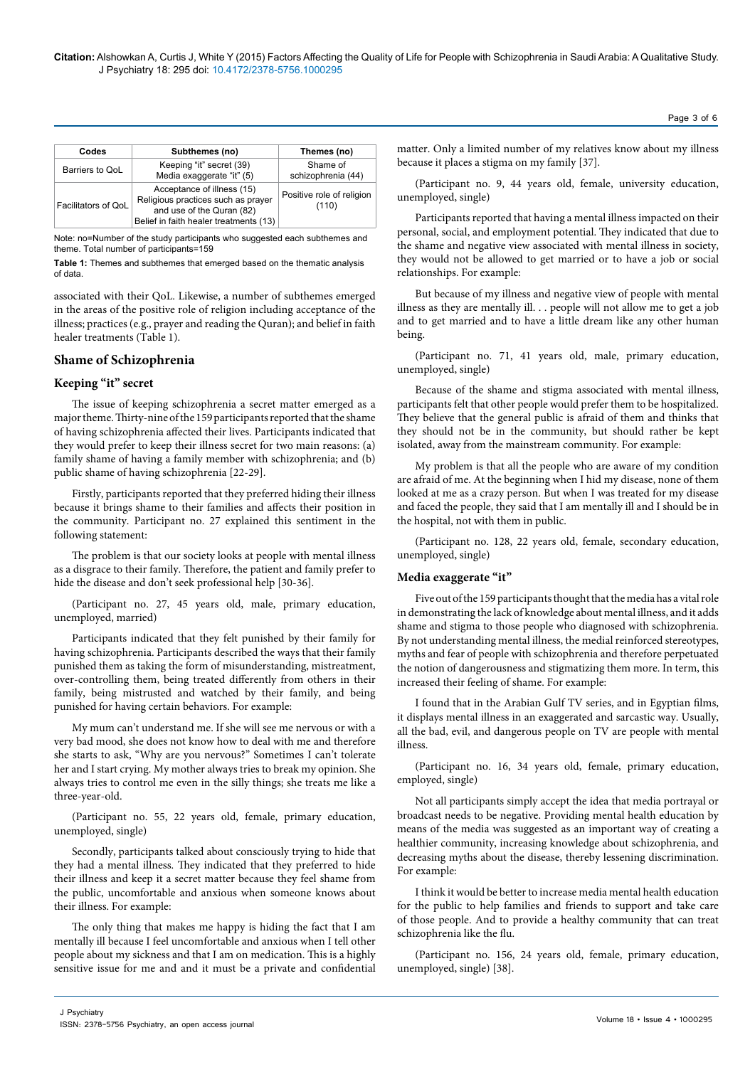| Codes               | Subthemes (no)                                                                                                                          | Themes (no)                        |
|---------------------|-----------------------------------------------------------------------------------------------------------------------------------------|------------------------------------|
| Barriers to QoL     | Keeping "it" secret (39)<br>Media exaggerate "it" (5)                                                                                   | Shame of<br>schizophrenia (44)     |
| Facilitators of QoL | Acceptance of illness (15)<br>Religious practices such as prayer<br>and use of the Quran (82)<br>Belief in faith healer treatments (13) | Positive role of religion<br>(110) |

Note: no=Number of the study participants who suggested each subthemes and theme. Total number of participants=159

**Table 1:** Themes and subthemes that emerged based on the thematic analysis of data.

associated with their QoL. Likewise, a number of subthemes emerged in the areas of the positive role of religion including acceptance of the illness; practices (e.g., prayer and reading the Quran); and belief in faith healer treatments (Table 1).

# **Shame of Schizophrenia**

## **Keeping "it" secret**

The issue of keeping schizophrenia a secret matter emerged as a major theme. Thirty-nine of the 159 participants reported that the shame of having schizophrenia affected their lives. Participants indicated that they would prefer to keep their illness secret for two main reasons: (a) family shame of having a family member with schizophrenia; and (b) public shame of having schizophrenia [22-29].

Firstly, participants reported that they preferred hiding their illness because it brings shame to their families and affects their position in the community. Participant no. 27 explained this sentiment in the following statement:

The problem is that our society looks at people with mental illness as a disgrace to their family. Therefore, the patient and family prefer to hide the disease and don't seek professional help [30-36].

(Participant no. 27, 45 years old, male, primary education, unemployed, married)

Participants indicated that they felt punished by their family for having schizophrenia. Participants described the ways that their family punished them as taking the form of misunderstanding, mistreatment, over-controlling them, being treated differently from others in their family, being mistrusted and watched by their family, and being punished for having certain behaviors. For example:

My mum can't understand me. If she will see me nervous or with a very bad mood, she does not know how to deal with me and therefore she starts to ask, "Why are you nervous?" Sometimes I can't tolerate her and I start crying. My mother always tries to break my opinion. She always tries to control me even in the silly things; she treats me like a three-year-old.

(Participant no. 55, 22 years old, female, primary education, unemployed, single)

Secondly, participants talked about consciously trying to hide that they had a mental illness. They indicated that they preferred to hide their illness and keep it a secret matter because they feel shame from the public, uncomfortable and anxious when someone knows about their illness. For example:

The only thing that makes me happy is hiding the fact that I am mentally ill because I feel uncomfortable and anxious when I tell other people about my sickness and that I am on medication. This is a highly sensitive issue for me and and it must be a private and confidential

matter. Only a limited number of my relatives know about my illness because it places a stigma on my family [37].

(Participant no. 9, 44 years old, female, university education, unemployed, single)

Participants reported that having a mental illness impacted on their personal, social, and employment potential. They indicated that due to the shame and negative view associated with mental illness in society, they would not be allowed to get married or to have a job or social relationships. For example:

But because of my illness and negative view of people with mental illness as they are mentally ill. . . people will not allow me to get a job and to get married and to have a little dream like any other human being.

(Participant no. 71, 41 years old, male, primary education, unemployed, single)

Because of the shame and stigma associated with mental illness, participants felt that other people would prefer them to be hospitalized. They believe that the general public is afraid of them and thinks that they should not be in the community, but should rather be kept isolated, away from the mainstream community. For example:

My problem is that all the people who are aware of my condition are afraid of me. At the beginning when I hid my disease, none of them looked at me as a crazy person. But when I was treated for my disease and faced the people, they said that I am mentally ill and I should be in the hospital, not with them in public.

(Participant no. 128, 22 years old, female, secondary education, unemployed, single)

#### **Media exaggerate "it"**

Five out of the 159 participants thought that the media has a vital role in demonstrating the lack of knowledge about mental illness, and it adds shame and stigma to those people who diagnosed with schizophrenia. By not understanding mental illness, the medial reinforced stereotypes, myths and fear of people with schizophrenia and therefore perpetuated the notion of dangerousness and stigmatizing them more. In term, this increased their feeling of shame. For example:

I found that in the Arabian Gulf TV series, and in Egyptian films, it displays mental illness in an exaggerated and sarcastic way. Usually, all the bad, evil, and dangerous people on TV are people with mental illness.

(Participant no. 16, 34 years old, female, primary education, employed, single)

Not all participants simply accept the idea that media portrayal or broadcast needs to be negative. Providing mental health education by means of the media was suggested as an important way of creating a healthier community, increasing knowledge about schizophrenia, and decreasing myths about the disease, thereby lessening discrimination. For example:

I think it would be better to increase media mental health education for the public to help families and friends to support and take care of those people. And to provide a healthy community that can treat schizophrenia like the flu.

(Participant no. 156, 24 years old, female, primary education, unemployed, single) [38].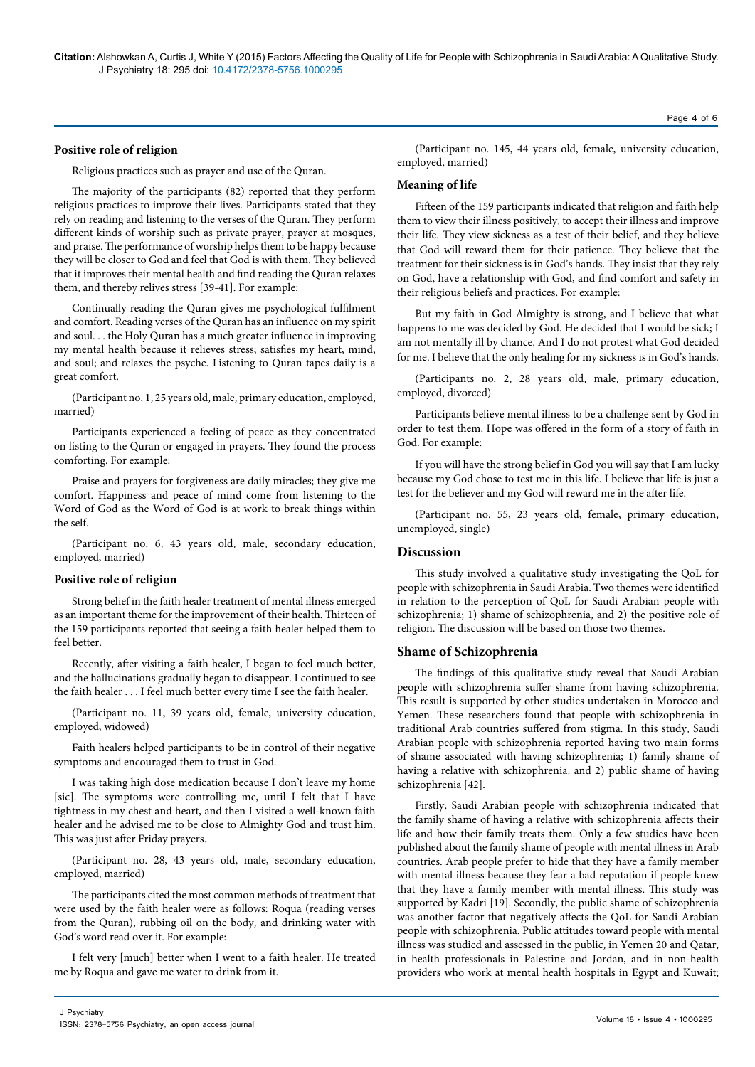#### **Positive role of religion**

Religious practices such as prayer and use of the Quran.

The majority of the participants (82) reported that they perform religious practices to improve their lives. Participants stated that they rely on reading and listening to the verses of the Quran. They perform different kinds of worship such as private prayer, prayer at mosques, and praise. The performance of worship helps them to be happy because they will be closer to God and feel that God is with them. They believed that it improves their mental health and find reading the Quran relaxes them, and thereby relives stress [39-41]. For example:

Continually reading the Quran gives me psychological fulfilment and comfort. Reading verses of the Quran has an influence on my spirit and soul. . . the Holy Quran has a much greater influence in improving my mental health because it relieves stress; satisfies my heart, mind, and soul; and relaxes the psyche. Listening to Quran tapes daily is a great comfort.

(Participant no. 1, 25 years old, male, primary education, employed, married)

Participants experienced a feeling of peace as they concentrated on listing to the Quran or engaged in prayers. They found the process comforting. For example:

Praise and prayers for forgiveness are daily miracles; they give me comfort. Happiness and peace of mind come from listening to the Word of God as the Word of God is at work to break things within the self.

(Participant no. 6, 43 years old, male, secondary education, employed, married)

#### **Positive role of religion**

Strong belief in the faith healer treatment of mental illness emerged as an important theme for the improvement of their health. Thirteen of the 159 participants reported that seeing a faith healer helped them to feel better.

Recently, after visiting a faith healer, I began to feel much better, and the hallucinations gradually began to disappear. I continued to see the faith healer . . . I feel much better every time I see the faith healer.

(Participant no. 11, 39 years old, female, university education, employed, widowed)

Faith healers helped participants to be in control of their negative symptoms and encouraged them to trust in God.

I was taking high dose medication because I don't leave my home [sic]. The symptoms were controlling me, until I felt that I have tightness in my chest and heart, and then I visited a well-known faith healer and he advised me to be close to Almighty God and trust him. This was just after Friday prayers.

(Participant no. 28, 43 years old, male, secondary education, employed, married)

The participants cited the most common methods of treatment that were used by the faith healer were as follows: Roqua (reading verses from the Quran), rubbing oil on the body, and drinking water with God's word read over it. For example:

I felt very [much] better when I went to a faith healer. He treated me by Roqua and gave me water to drink from it.

(Participant no. 145, 44 years old, female, university education, employed, married)

#### **Meaning of life**

Fifteen of the 159 participants indicated that religion and faith help them to view their illness positively, to accept their illness and improve their life. They view sickness as a test of their belief, and they believe that God will reward them for their patience. They believe that the treatment for their sickness is in God's hands. They insist that they rely on God, have a relationship with God, and find comfort and safety in their religious beliefs and practices. For example:

But my faith in God Almighty is strong, and I believe that what happens to me was decided by God. He decided that I would be sick; I am not mentally ill by chance. And I do not protest what God decided for me. I believe that the only healing for my sickness is in God's hands.

(Participants no. 2, 28 years old, male, primary education, employed, divorced)

Participants believe mental illness to be a challenge sent by God in order to test them. Hope was offered in the form of a story of faith in God. For example:

If you will have the strong belief in God you will say that I am lucky because my God chose to test me in this life. I believe that life is just a test for the believer and my God will reward me in the after life.

(Participant no. 55, 23 years old, female, primary education, unemployed, single)

## **Discussion**

This study involved a qualitative study investigating the QoL for people with schizophrenia in Saudi Arabia. Two themes were identified in relation to the perception of QoL for Saudi Arabian people with schizophrenia; 1) shame of schizophrenia, and 2) the positive role of religion. The discussion will be based on those two themes.

#### **Shame of Schizophrenia**

The findings of this qualitative study reveal that Saudi Arabian people with schizophrenia suffer shame from having schizophrenia. This result is supported by other studies undertaken in Morocco and Yemen. These researchers found that people with schizophrenia in traditional Arab countries suffered from stigma. In this study, Saudi Arabian people with schizophrenia reported having two main forms of shame associated with having schizophrenia; 1) family shame of having a relative with schizophrenia, and 2) public shame of having schizophrenia [42].

Firstly, Saudi Arabian people with schizophrenia indicated that the family shame of having a relative with schizophrenia affects their life and how their family treats them. Only a few studies have been published about the family shame of people with mental illness in Arab countries. Arab people prefer to hide that they have a family member with mental illness because they fear a bad reputation if people knew that they have a family member with mental illness. This study was supported by Kadri [19]. Secondly, the public shame of schizophrenia was another factor that negatively affects the QoL for Saudi Arabian people with schizophrenia. Public attitudes toward people with mental illness was studied and assessed in the public, in Yemen 20 and Qatar, in health professionals in Palestine and Jordan, and in non-health providers who work at mental health hospitals in Egypt and Kuwait;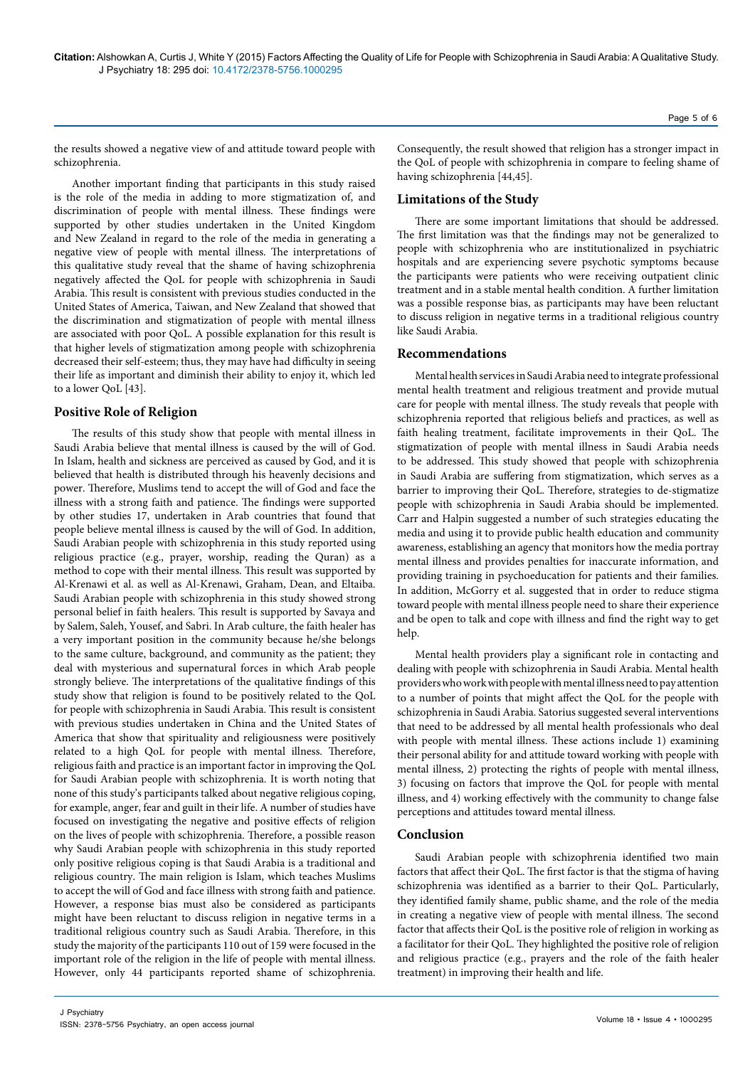the results showed a negative view of and attitude toward people with schizophrenia.

Another important finding that participants in this study raised is the role of the media in adding to more stigmatization of, and discrimination of people with mental illness. These findings were supported by other studies undertaken in the United Kingdom and New Zealand in regard to the role of the media in generating a negative view of people with mental illness. The interpretations of this qualitative study reveal that the shame of having schizophrenia negatively affected the QoL for people with schizophrenia in Saudi Arabia. This result is consistent with previous studies conducted in the United States of America, Taiwan, and New Zealand that showed that the discrimination and stigmatization of people with mental illness are associated with poor QoL. A possible explanation for this result is that higher levels of stigmatization among people with schizophrenia decreased their self-esteem; thus, they may have had difficulty in seeing their life as important and diminish their ability to enjoy it, which led to a lower QoL [43].

## **Positive Role of Religion**

The results of this study show that people with mental illness in Saudi Arabia believe that mental illness is caused by the will of God. In Islam, health and sickness are perceived as caused by God, and it is believed that health is distributed through his heavenly decisions and power. Therefore, Muslims tend to accept the will of God and face the illness with a strong faith and patience. The findings were supported by other studies 17, undertaken in Arab countries that found that people believe mental illness is caused by the will of God. In addition, Saudi Arabian people with schizophrenia in this study reported using religious practice (e.g., prayer, worship, reading the Quran) as a method to cope with their mental illness. This result was supported by Al-Krenawi et al. as well as Al-Krenawi, Graham, Dean, and Eltaiba. Saudi Arabian people with schizophrenia in this study showed strong personal belief in faith healers. This result is supported by Savaya and by Salem, Saleh, Yousef, and Sabri. In Arab culture, the faith healer has a very important position in the community because he/she belongs to the same culture, background, and community as the patient; they deal with mysterious and supernatural forces in which Arab people strongly believe. The interpretations of the qualitative findings of this study show that religion is found to be positively related to the QoL for people with schizophrenia in Saudi Arabia. This result is consistent with previous studies undertaken in China and the United States of America that show that spirituality and religiousness were positively related to a high QoL for people with mental illness. Therefore, religious faith and practice is an important factor in improving the QoL for Saudi Arabian people with schizophrenia. It is worth noting that none of this study's participants talked about negative religious coping, for example, anger, fear and guilt in their life. A number of studies have focused on investigating the negative and positive effects of religion on the lives of people with schizophrenia. Therefore, a possible reason why Saudi Arabian people with schizophrenia in this study reported only positive religious coping is that Saudi Arabia is a traditional and religious country. The main religion is Islam, which teaches Muslims to accept the will of God and face illness with strong faith and patience. However, a response bias must also be considered as participants might have been reluctant to discuss religion in negative terms in a traditional religious country such as Saudi Arabia. Therefore, in this study the majority of the participants 110 out of 159 were focused in the important role of the religion in the life of people with mental illness. However, only 44 participants reported shame of schizophrenia.

Consequently, the result showed that religion has a stronger impact in the QoL of people with schizophrenia in compare to feeling shame of having schizophrenia [44,45].

# **Limitations of the Study**

There are some important limitations that should be addressed. The first limitation was that the findings may not be generalized to people with schizophrenia who are institutionalized in psychiatric hospitals and are experiencing severe psychotic symptoms because the participants were patients who were receiving outpatient clinic treatment and in a stable mental health condition. A further limitation was a possible response bias, as participants may have been reluctant to discuss religion in negative terms in a traditional religious country like Saudi Arabia.

# **Recommendations**

Mental health services in Saudi Arabia need to integrate professional mental health treatment and religious treatment and provide mutual care for people with mental illness. The study reveals that people with schizophrenia reported that religious beliefs and practices, as well as faith healing treatment, facilitate improvements in their QoL. The stigmatization of people with mental illness in Saudi Arabia needs to be addressed. This study showed that people with schizophrenia in Saudi Arabia are suffering from stigmatization, which serves as a barrier to improving their QoL. Therefore, strategies to de-stigmatize people with schizophrenia in Saudi Arabia should be implemented. Carr and Halpin suggested a number of such strategies educating the media and using it to provide public health education and community awareness, establishing an agency that monitors how the media portray mental illness and provides penalties for inaccurate information, and providing training in psychoeducation for patients and their families. In addition, McGorry et al. suggested that in order to reduce stigma toward people with mental illness people need to share their experience and be open to talk and cope with illness and find the right way to get help.

Mental health providers play a significant role in contacting and dealing with people with schizophrenia in Saudi Arabia. Mental health providers who work with people with mental illness need to pay attention to a number of points that might affect the QoL for the people with schizophrenia in Saudi Arabia. Satorius suggested several interventions that need to be addressed by all mental health professionals who deal with people with mental illness. These actions include 1) examining their personal ability for and attitude toward working with people with mental illness, 2) protecting the rights of people with mental illness, 3) focusing on factors that improve the QoL for people with mental illness, and 4) working effectively with the community to change false perceptions and attitudes toward mental illness.

## **Conclusion**

Saudi Arabian people with schizophrenia identified two main factors that affect their QoL. The first factor is that the stigma of having schizophrenia was identified as a barrier to their QoL. Particularly, they identified family shame, public shame, and the role of the media in creating a negative view of people with mental illness. The second factor that affects their QoL is the positive role of religion in working as a facilitator for their QoL. They highlighted the positive role of religion and religious practice (e.g., prayers and the role of the faith healer treatment) in improving their health and life.